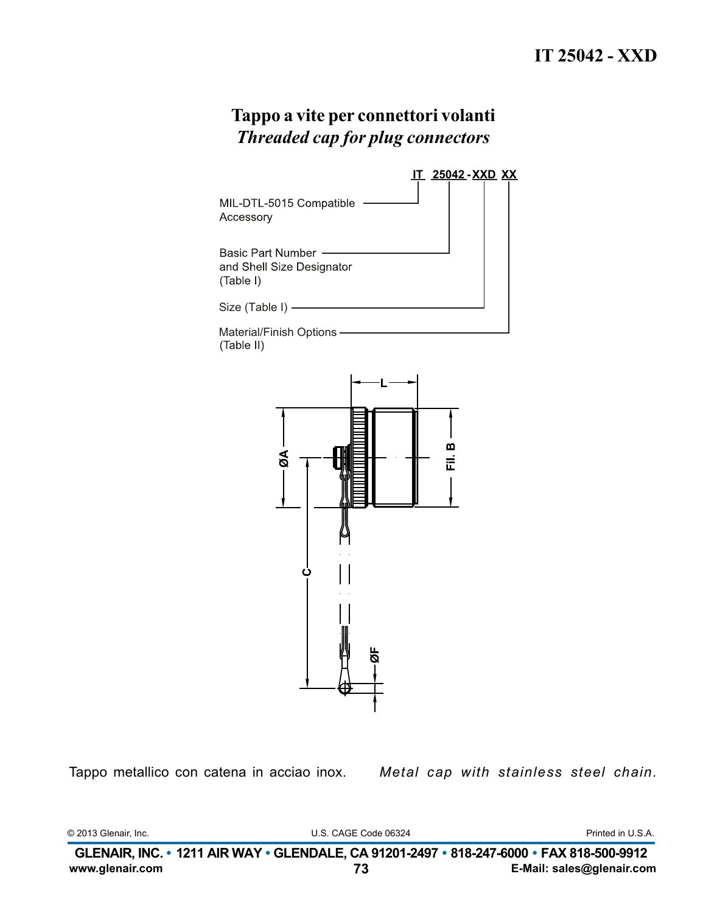

Tappo metallico con catena in acciao inox.

Metal cap with stainless steel chain.

© 2013 Glenair, Inc.

U.S. CAGE Code 06324

Printed in U.S.A.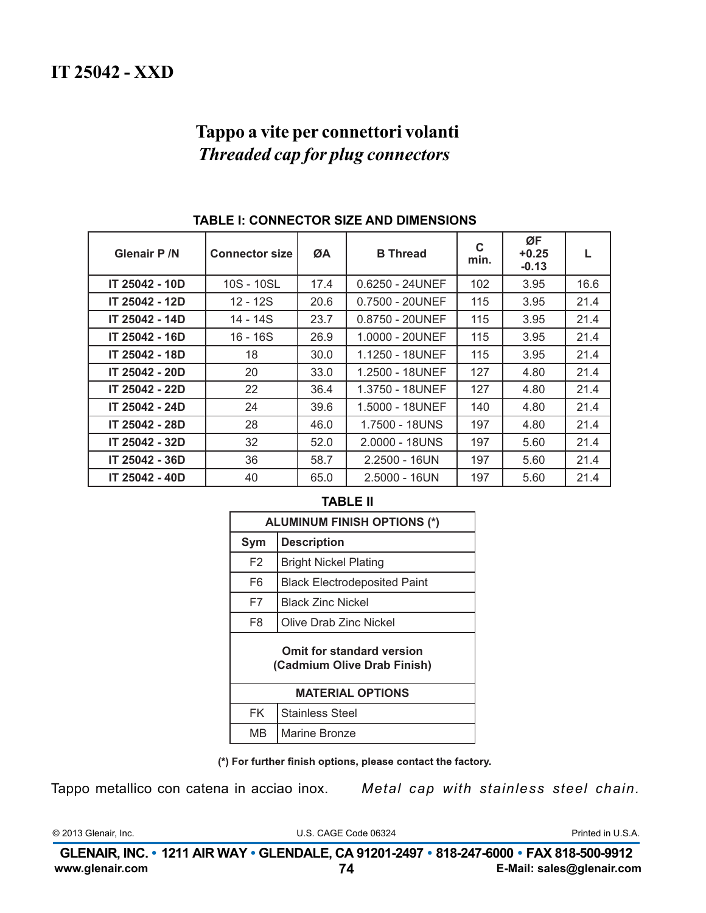| <b>Glenair P /N</b> | <b>Connector size</b> | ØA   | <b>B</b> Thread    | C<br>min. | ØF<br>$+0.25$<br>$-0.13$ |      |
|---------------------|-----------------------|------|--------------------|-----------|--------------------------|------|
| IT 25042 - 10D      | 10S - 10SL            | 17.4 | $0.6250 - 24UNEF$  | 102       | 3.95                     | 16.6 |
| IT 25042 - 12D      | 12 - 12S              | 20.6 | 0.7500 - 20UNEF    | 115       | 3.95                     | 21.4 |
| IT 25042 - 14D      | 14 - 14S              | 23.7 | $0.8750 - 20$ UNEF | 115       | 3.95                     | 21.4 |
| IT 25042 - 16D      | $16 - 16S$            | 26.9 | 1.0000 - 20UNEF    | 115       | 3.95                     | 21.4 |
| IT 25042 - 18D      | 18                    | 30.0 | 1.1250 - 18UNEF    | 115       | 3.95                     | 21.4 |
| IT 25042 - 20D      | 20                    | 33.0 | 1.2500 - 18UNEF    | 127       | 4.80                     | 21.4 |
| IT 25042 - 22D      | 22                    | 36.4 | 1.3750 - 18UNEF    | 127       | 4.80                     | 21.4 |
| IT 25042 - 24D      | 24                    | 39.6 | 1.5000 - 18UNEF    | 140       | 4.80                     | 21.4 |
| IT 25042 - 28D      | 28                    | 46.0 | 1.7500 - 18UNS     | 197       | 4.80                     | 21.4 |
| IT 25042 - 32D      | 32                    | 52.0 | $2.0000 - 18$ UNS  | 197       | 5.60                     | 21.4 |
| IT 25042 - 36D      | 36                    | 58.7 | $2.2500 - 16UN$    | 197       | 5.60                     | 21.4 |
| IT 25042 - 40D      | 40                    | 65.0 | $2.5000 - 16UN$    | 197       | 5.60                     | 21.4 |

### TABLE I: CONNECTOR SIZE AND DIMENSIONS

#### **TABLE II**

| <b>ALUMINUM FINISH OPTIONS (*)</b>                       |                                     |  |  |
|----------------------------------------------------------|-------------------------------------|--|--|
| Sym                                                      | <b>Description</b>                  |  |  |
| F <sub>2</sub>                                           | <b>Bright Nickel Plating</b>        |  |  |
| F <sub>6</sub>                                           | <b>Black Electrodeposited Paint</b> |  |  |
| F7                                                       | Black Zinc Nickel                   |  |  |
| F8                                                       | Olive Drab Zinc Nickel              |  |  |
| Omit for standard version<br>(Cadmium Olive Drab Finish) |                                     |  |  |
| <b>MATERIAL OPTIONS</b>                                  |                                     |  |  |
| <b>FK</b>                                                | <b>Stainless Steel</b>              |  |  |
| MВ                                                       | Marine Bronze                       |  |  |

(\*) For further finish options, please contact the factory.

Tappo metallico con catena in acciao inox.

Metal cap with stainless steel chain.

© 2013 Glenair, Inc.

U.S. CAGE Code 06324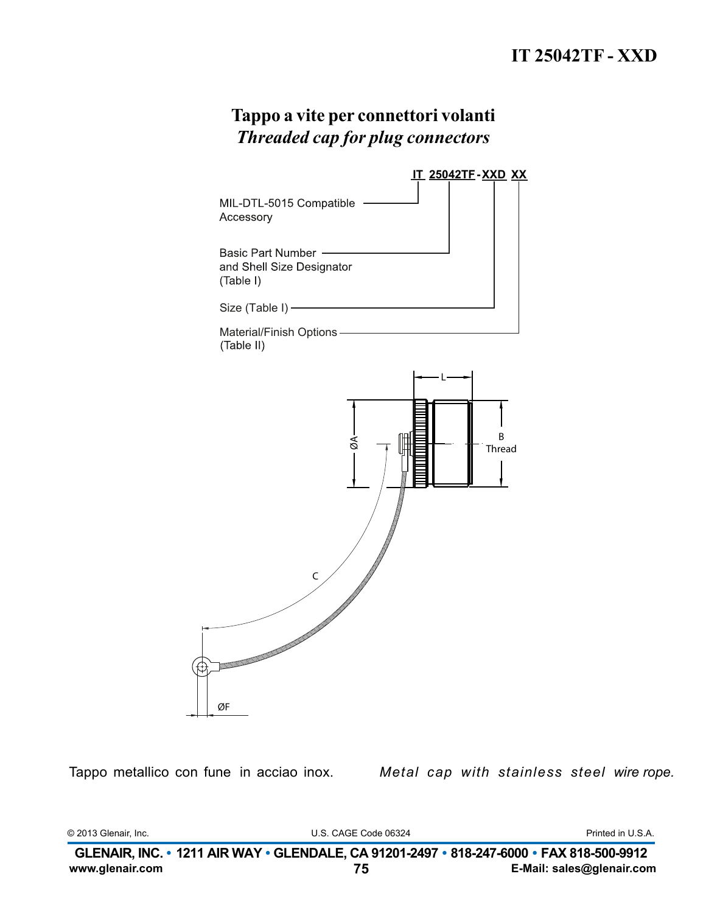

Tappo metallico con fune in acciao inox.

Metal cap with stainless steel wire rope.

© 2013 Glenair, Inc.

U.S. CAGE Code 06324

Printed in U.S.A.